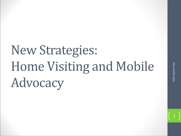# New Strategies: Home Visiting and Mobile Advocacy

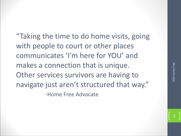"Taking the time to do home visits, going with people to court or other places communicates 'I'm here for YOU' and makes a connection that is unique. Other services survivors are having to navigate just aren't structured that way." -Home Free Advocate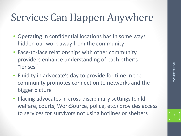#### Services Can Happen Anywhere

- Operating in confidential locations has in some ways hidden our work away from the community
- Face-to-face relationships with other community providers enhance understanding of each other's "lenses"
- Fluidity in advocate's day to provide for time in the community promotes connection to networks and the bigger picture
- Placing advocates in cross-disciplinary settings (child welfare, courts, WorkSource, police, etc.) provides access the service of services for the services for the services for survivors and the bigger picture<br>pommunity promotes connection to networks and the bigger picture<br>placing advocates in cross-disciplinary settings (child<br>welfar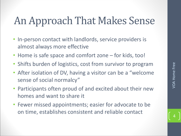## An Approach That Makes Sense

- In-person contact with landlords, service providers is almost always more effective
- Home is safe space and comfort zone for kids, too!
- Shifts burden of logistics, cost from survivor to program
- After isolation of DV, having a visitor can be a "welcome sense of social normalcy"
- Participants often proud of and excited about their new homes and want to share it
- Fewer missed appointments; easier for advocate to be on time, establishes consistent and reliable contact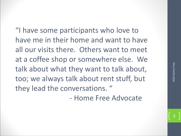"I have some participants who love to have me in their home and want to have all our visits there. Others want to meet at a coffee shop or somewhere else. We talk about what they want to talk about, too; we always talk about rent stuff, but they lead the conversations. "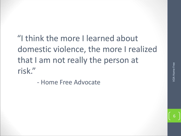"I think the more I learned about domestic violence, the more I realized that I am not really the person at risk."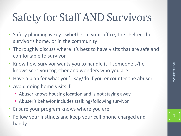### Safety for Staff AND Survivors

- Safety planning is key whether in your office, the shelter, the survivor's home, or in the community
- Thoroughly discuss where it's best to have visits that are safe and comfortable to survivor
- Know how survivor wants you to handle it if someone s/he knows sees you together and wonders who you are
- Have a plan for what you'll say/do if you encounter the abuser
- Avoid doing home visits if:
	- Abuser knows housing location and is not staying away
	- Abuser's behavior includes stalking/following survivor
- Ensure your program knows where you are
- Follow your instincts and keep your cell phone charged and handy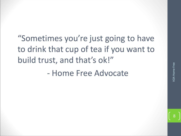"Sometimes you're just going to have to drink that cup of tea if you want to build trust, and that's ok!"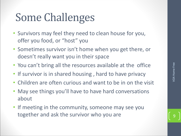## Some Challenges

- Survivors may feel they need to clean house for you, offer you food, or "host" you
- Sometimes survivor isn't home when you get there, or doesn't really want you in their space
- You can't bring all the resources available at the office
- If survivor is in shared housing , hard to have privacy
- Children are often curious and want to be in on the visit
- May see things you'll have to have hard conversations about You can't bring all the resources available at the office<br>
If survivor is in shared housing, hard to have privacy<br>
Children are often curious and want to be in on the visit<br>
May see things you'll have to have hard convers
- If meeting in the community, someone may see you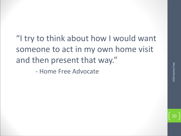"I try to think about how I would want someone to act in my own home visit and then present that way."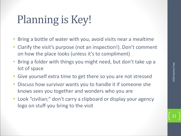## Planning is Key!

- Bring a bottle of water with you, avoid visits near a mealtime
- Clarify the visit's purpose (not an inspection!). Don't comment on how the place looks (unless it's to compliment)
- Bring a folder with things you might need, but don't take up a lot of space
- Give yourself extra time to get there so you are not stressed
- Discuss how survivor wants you to handle it if someone she knows sees you together and wonders who you are
- Look "civilian;" don't carry a clipboard or display your agency logo on stuff you bring to the visit